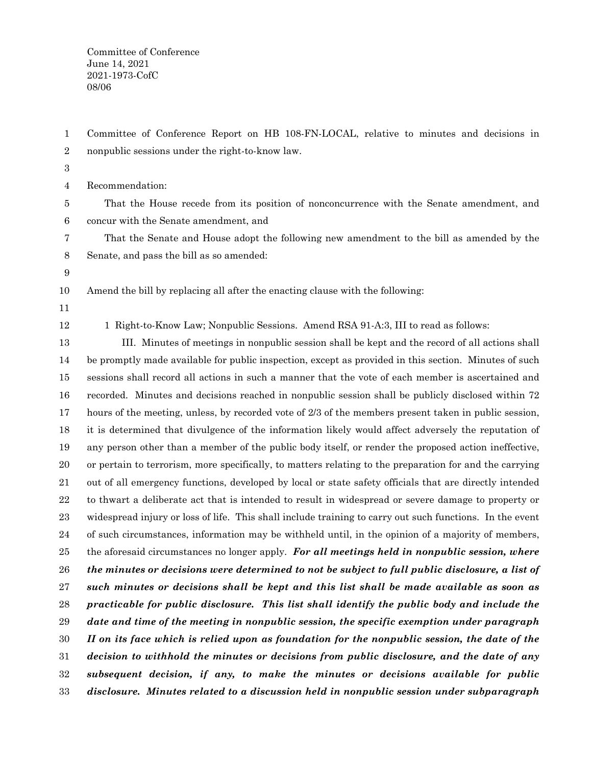Committee of Conference June 14, 2021 2021-1973-CofC 08/06

Committee of Conference Report on HB 108-FN-LOCAL, relative to minutes and decisions in nonpublic sessions under the right-to-know law. 1 2

3

Recommendation: 4

That the House recede from its position of nonconcurrence with the Senate amendment, and concur with the Senate amendment, and 5 6

That the Senate and House adopt the following new amendment to the bill as amended by the Senate, and pass the bill as so amended: 7 8

9

Amend the bill by replacing all after the enacting clause with the following: 10

11

12

1 Right-to-Know Law; Nonpublic Sessions. Amend RSA 91-A:3, III to read as follows:

III. Minutes of meetings in nonpublic session shall be kept and the record of all actions shall be promptly made available for public inspection, except as provided in this section. Minutes of such sessions shall record all actions in such a manner that the vote of each member is ascertained and recorded. Minutes and decisions reached in nonpublic session shall be publicly disclosed within 72 hours of the meeting, unless, by recorded vote of 2/3 of the members present taken in public session, it is determined that divulgence of the information likely would affect adversely the reputation of any person other than a member of the public body itself, or render the proposed action ineffective, or pertain to terrorism, more specifically, to matters relating to the preparation for and the carrying out of all emergency functions, developed by local or state safety officials that are directly intended to thwart a deliberate act that is intended to result in widespread or severe damage to property or widespread injury or loss of life. This shall include training to carry out such functions. In the event of such circumstances, information may be withheld until, in the opinion of a majority of members, the aforesaid circumstances no longer apply. *For all meetings held in nonpublic session, where the minutes or decisions were determined to not be subject to full public disclosure, a list of such minutes or decisions shall be kept and this list shall be made available as soon as practicable for public disclosure. This list shall identify the public body and include the date and time of the meeting in nonpublic session, the specific exemption under paragraph II on its face which is relied upon as foundation for the nonpublic session, the date of the decision to withhold the minutes or decisions from public disclosure, and the date of any subsequent decision, if any, to make the minutes or decisions available for public disclosure. Minutes related to a discussion held in nonpublic session under subparagraph* 13 14 15 16 17 18 19 20 21 22 23 24 25 26 27 28 29 30 31 32 33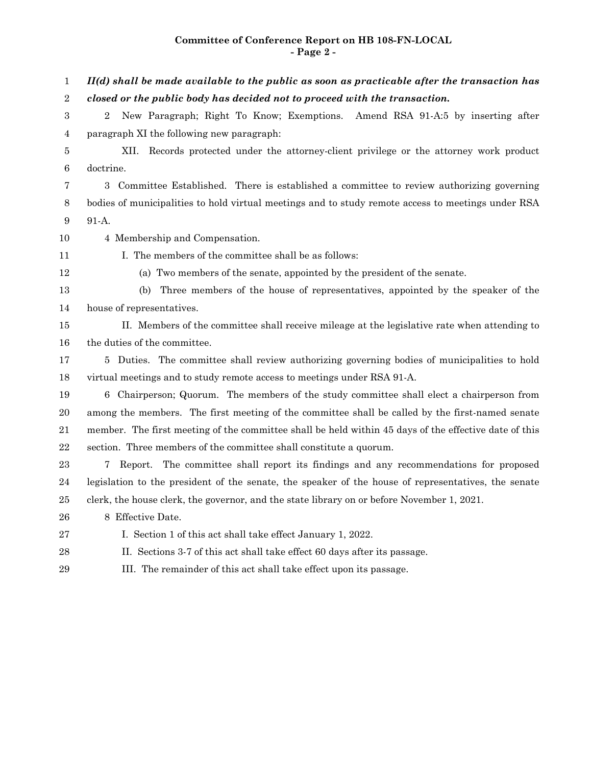## **Committee of Conference Report on HB 108-FN-LOCAL - Page 2 -**

*II(d) shall be made available to the public as soon as practicable after the transaction has closed or the public body has decided not to proceed with the transaction.* 2 New Paragraph; Right To Know; Exemptions. Amend RSA 91-A:5 by inserting after paragraph XI the following new paragraph: XII. Records protected under the attorney-client privilege or the attorney work product doctrine. 3 Committee Established. There is established a committee to review authorizing governing bodies of municipalities to hold virtual meetings and to study remote access to meetings under RSA 91-A. 4 Membership and Compensation. I. The members of the committee shall be as follows: (a) Two members of the senate, appointed by the president of the senate. (b) Three members of the house of representatives, appointed by the speaker of the house of representatives. II. Members of the committee shall receive mileage at the legislative rate when attending to the duties of the committee. 5 Duties. The committee shall review authorizing governing bodies of municipalities to hold virtual meetings and to study remote access to meetings under RSA 91-A. 6 Chairperson; Quorum. The members of the study committee shall elect a chairperson from among the members. The first meeting of the committee shall be called by the first-named senate member. The first meeting of the committee shall be held within 45 days of the effective date of this section. Three members of the committee shall constitute a quorum. 7 Report. The committee shall report its findings and any recommendations for proposed legislation to the president of the senate, the speaker of the house of representatives, the senate clerk, the house clerk, the governor, and the state library on or before November 1, 2021. 8 Effective Date. I. Section 1 of this act shall take effect January 1, 2022. II. Sections 3-7 of this act shall take effect 60 days after its passage. III. The remainder of this act shall take effect upon its passage. 1 2 3 4 5 6 7 8 9 10 11 12 13 14 15 16 17 18 19 20 21 22 23 24 25 26 27 28 29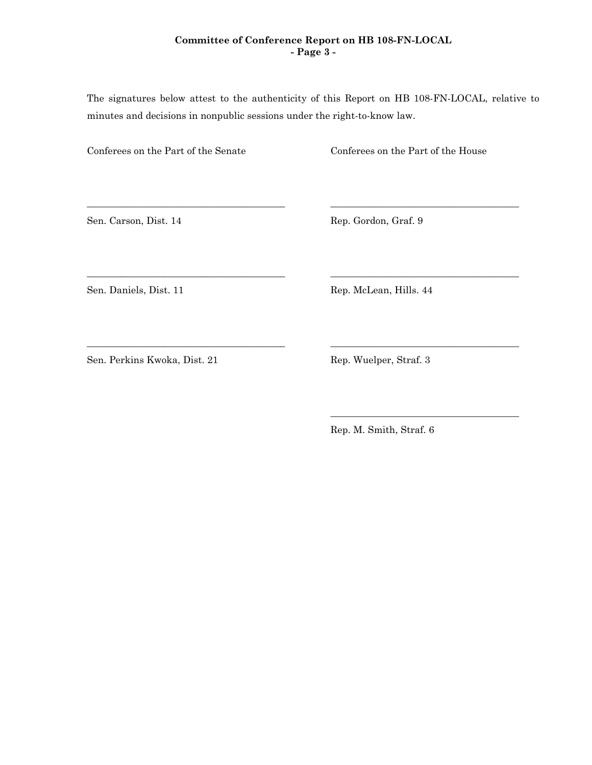## **Committee of Conference Report on HB 108-FN-LOCAL - Page 3 -**

The signatures below attest to the authenticity of this Report on HB 108-FN-LOCAL, relative to minutes and decisions in nonpublic sessions under the right-to-know law.

\_\_\_\_\_\_\_\_\_\_\_\_\_\_\_\_\_\_\_\_\_\_\_\_\_\_\_\_\_\_\_\_\_\_\_\_\_\_\_\_\_ \_\_\_\_\_\_\_\_\_\_\_\_\_\_\_\_\_\_\_\_\_\_\_\_\_\_\_\_\_\_\_\_\_\_\_\_\_\_\_

\_\_\_\_\_\_\_\_\_\_\_\_\_\_\_\_\_\_\_\_\_\_\_\_\_\_\_\_\_\_\_\_\_\_\_\_\_\_\_\_\_ \_\_\_\_\_\_\_\_\_\_\_\_\_\_\_\_\_\_\_\_\_\_\_\_\_\_\_\_\_\_\_\_\_\_\_\_\_\_\_

\_\_\_\_\_\_\_\_\_\_\_\_\_\_\_\_\_\_\_\_\_\_\_\_\_\_\_\_\_\_\_\_\_\_\_\_\_\_\_\_\_ \_\_\_\_\_\_\_\_\_\_\_\_\_\_\_\_\_\_\_\_\_\_\_\_\_\_\_\_\_\_\_\_\_\_\_\_\_\_\_

Conferees on the Part of the Senate Conferees on the Part of the House

Sen. Carson, Dist. 14 Rep. Gordon, Graf. 9

Sen. Daniels, Dist. 11 Rep. McLean, Hills. 44

Sen. Perkins Kwoka, Dist. 21 Rep. Wuelper, Straf. 3

Rep. M. Smith, Straf. 6

\_\_\_\_\_\_\_\_\_\_\_\_\_\_\_\_\_\_\_\_\_\_\_\_\_\_\_\_\_\_\_\_\_\_\_\_\_\_\_